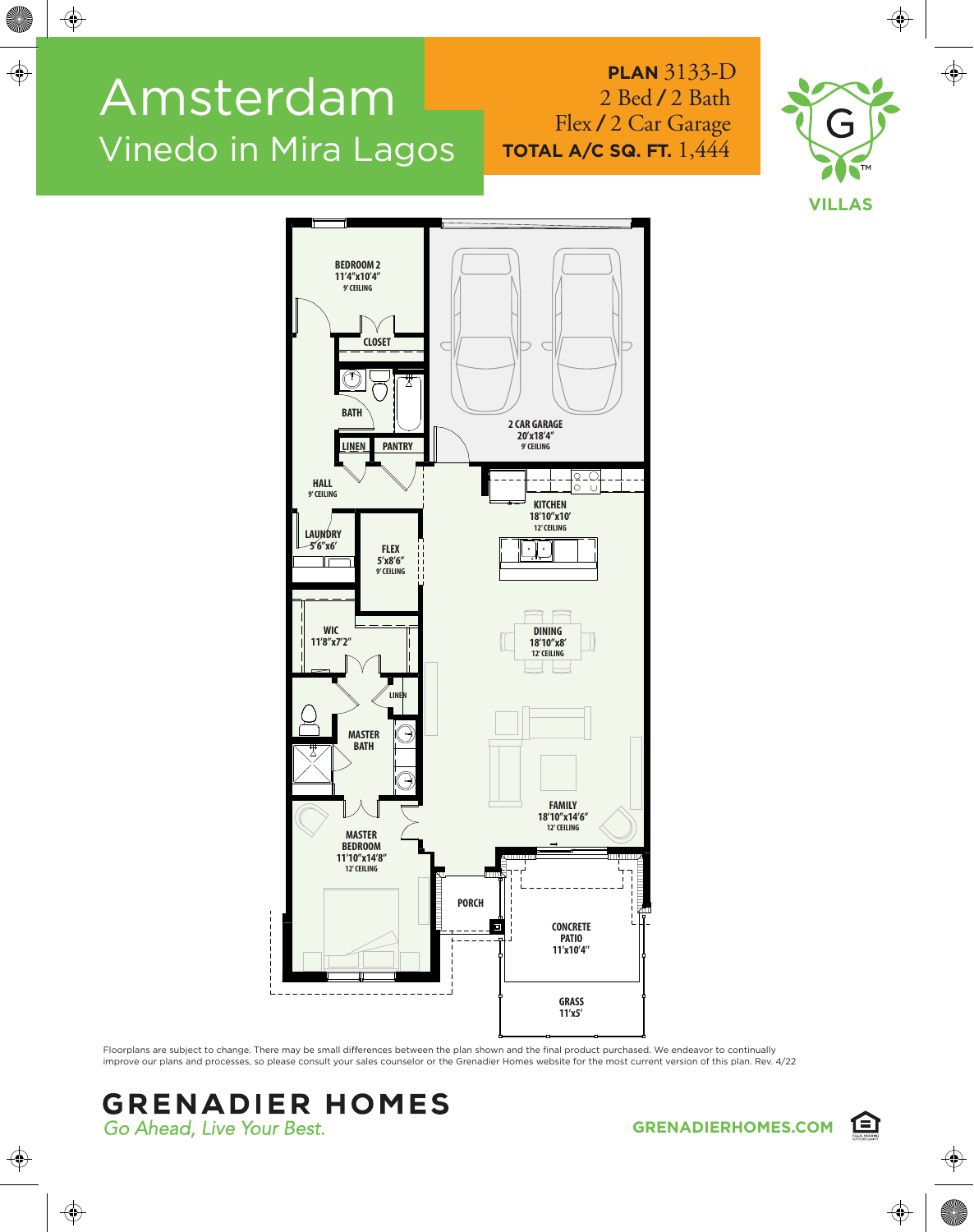## Amsterdam Vinedo in Mira Lagos

## **PLAN** 3133-D 2 Bed **/** 2 Bath Flex **/** 2 Car Garage **TOTAL A/C SQ. FT.** 1,444





Floorplans are subject to change. There may be small differences between the plan shown and the final product purchased. We endeavor to continually improve our plans and processes, so please consult your sales counselor or the Grenadier Homes website for the most current version of this plan. Rev. 4/22

## **GRENADIER HOMES** Go Ahead, Live Your Best.